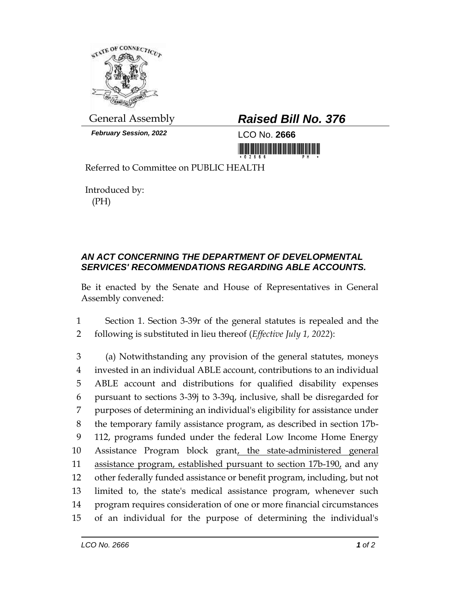

*February Session, 2022* LCO No. **2666**

## General Assembly *Raised Bill No. 376*

<u> III Martin Martin Martin Martin Martin Martin Martin Martin Martin Martin Martin Martin Martin Martin Martin</u>

Referred to Committee on PUBLIC HEALTH

Introduced by: (PH)

## *AN ACT CONCERNING THE DEPARTMENT OF DEVELOPMENTAL SERVICES' RECOMMENDATIONS REGARDING ABLE ACCOUNTS.*

Be it enacted by the Senate and House of Representatives in General Assembly convened:

1 Section 1. Section 3-39r of the general statutes is repealed and the 2 following is substituted in lieu thereof (*Effective July 1, 2022*):

 (a) Notwithstanding any provision of the general statutes, moneys invested in an individual ABLE account, contributions to an individual ABLE account and distributions for qualified disability expenses pursuant to sections 3-39j to 3-39q, inclusive, shall be disregarded for purposes of determining an individual's eligibility for assistance under the temporary family assistance program, as described in section 17b- 112, programs funded under the federal Low Income Home Energy Assistance Program block grant, the state-administered general assistance program, established pursuant to section 17b-190, and any other federally funded assistance or benefit program, including, but not limited to, the state's medical assistance program, whenever such program requires consideration of one or more financial circumstances of an individual for the purpose of determining the individual's